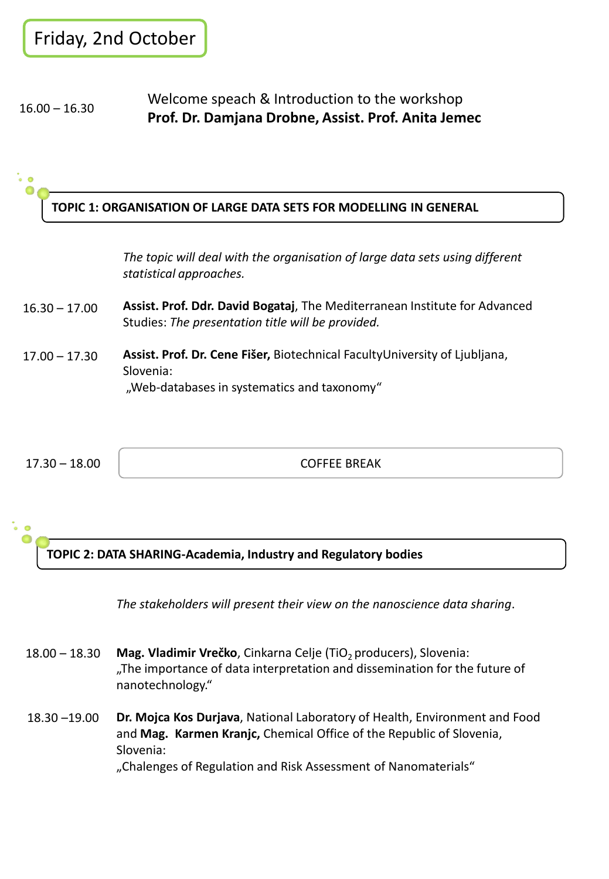#### $16.00 - 16.30$ Welcome speach & Introduction to the workshop **Prof. Dr. Damjana Drobne, Assist. Prof. Anita Jemec**

### **TOPIC 1: ORGANISATION OF LARGE DATA SETS FOR MODELLING IN GENERAL**

*The topic will deal with the organisation of large data sets using different statistical approaches.* 

- **Assist. Prof. Ddr. David Bogataj**, The Mediterranean Institute for Advanced Studies: *The presentation title will be provided.*  $16.30 - 17.00$
- **Assist. Prof. Dr. Cene Fišer,** Biotechnical FacultyUniversity of Ljubljana, Slovenia: "Web-databases in systematics and taxonomy" 17.00 – 17.30

17.30 – 18.00 COFFEE BREAK

# **TOPIC 2: DATA SHARING-Academia, Industry and Regulatory bodies**

*The stakeholders will present their view on the nanoscience data sharing*.

- $18.00 18.30$ **Mag. Vladimir Vrečko**, Cinkarna Celje (TiO<sub>2</sub> producers), Slovenia: "The importance of data interpretation and dissemination for the future of nanotechnology."
- 18.30 –19.00 **Dr. Mojca Kos Durjava**, National Laboratory of Health, Environment and Food and **Mag. Karmen Kranjc,** Chemical Office of the Republic of Slovenia, Slovenia: "Chalenges of Regulation and Risk Assessment of Nanomaterials"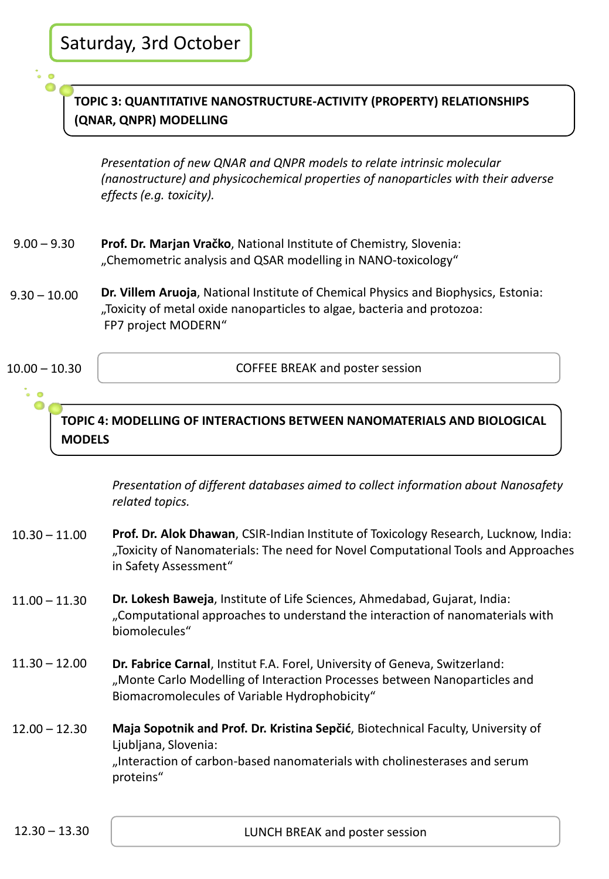## **TOPIC 3: QUANTITATIVE NANOSTRUCTURE-ACTIVITY (PROPERTY) RELATIONSHIPS (QNAR, QNPR) MODELLING**

*Presentation of new QNAR and QNPR models to relate intrinsic molecular (nanostructure) and physicochemical properties of nanoparticles with their adverse effects (e.g. toxicity).* 

- $9.00 9.30$ **Prof. Dr. Marjan Vračko**, National Institute of Chemistry, Slovenia: "Chemometric analysis and QSAR modelling in NANO-toxicology"
- $9.30 10.00$ **Dr. Villem Aruoja**, National Institute of Chemical Physics and Biophysics, Estonia: "Toxicity of metal oxide nanoparticles to algae, bacteria and protozoa: FP7 project MODERN"

$$
10.00 - 10.30
$$

COFFEE BREAK and poster session

**TOPIC 4: MODELLING OF INTERACTIONS BETWEEN NANOMATERIALS AND BIOLOGICAL MODELS** 

> *Presentation of different databases aimed to collect information about Nanosafety related topics.*

- **Prof. Dr. Alok Dhawan**, CSIR-Indian Institute of Toxicology Research, Lucknow, India: "Toxicity of Nanomaterials: The need for Novel Computational Tools and Approaches in Safety Assessment"  $10.30 - 11.00$
- **Dr. Lokesh Baweja**, Institute of Life Sciences, Ahmedabad, Gujarat, India: "Computational approaches to understand the interaction of nanomaterials with biomolecules"  $11.00 - 11.30$
- **Dr. Fabrice Carnal**, Institut F.A. Forel, University of Geneva, Switzerland: "Monte Carlo Modelling of Interaction Processes between Nanoparticles and Biomacromolecules of Variable Hydrophobicity"  $11.30 - 12.00$
- **Maja Sopotnik and Prof. Dr. Kristina Sepčić**, Biotechnical Faculty, University of Ljubljana, Slovenia: "Interaction of carbon-based nanomaterials with cholinesterases and serum proteins"  $12.00 - 12.30$